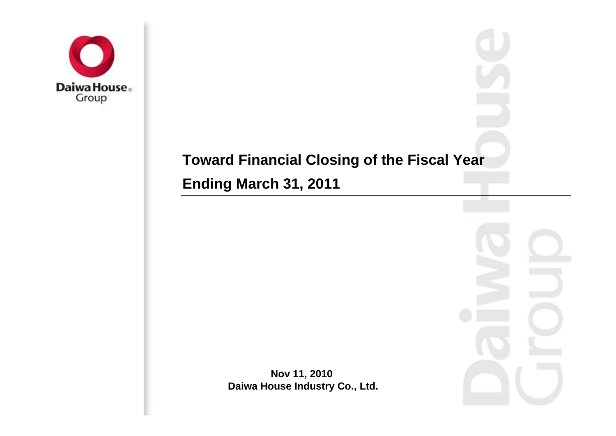

# **Toward Financial Closing of the Fiscal Year**

**Ending March 31, 2011** 

**Nov 11, 2010 Daiwa House Industry Co., Ltd.**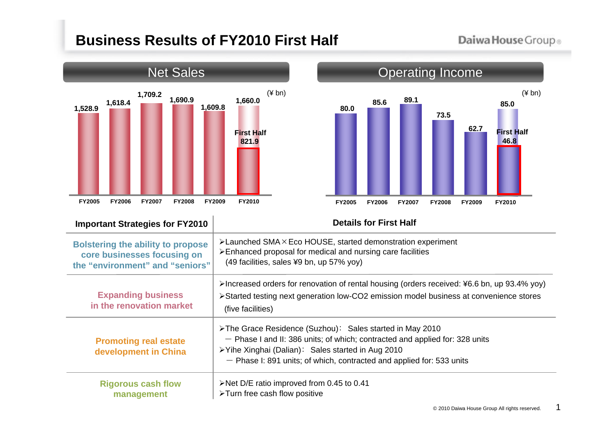# **Business Results of FY2010 First Half**

### Daiwa House Group®



### Operating Income (¥ bn) (¥ bn) **89.1 73.5 62.7 85.6 80.0 85.0 First Half 46.8 FY2005 FY2006 FY2007 FY2008 FY2009 FY2010**

#### **Important Strategies for FY2010**

#### **Details for First Half**

| <b>Bolstering the ability to propose</b>              | $\blacktriangleright$ Launched SMA $\times$ Eco HOUSE, started demonstration experiment                                                                                                                                                                                 |
|-------------------------------------------------------|-------------------------------------------------------------------------------------------------------------------------------------------------------------------------------------------------------------------------------------------------------------------------|
| core businesses focusing on                           | >Enhanced proposal for medical and nursing care facilities                                                                                                                                                                                                              |
| the "environment" and "seniors"                       | (49 facilities, sales ¥9 bn, up 57% yoy)                                                                                                                                                                                                                                |
| <b>Expanding business</b><br>in the renovation market | >Increased orders for renovation of rental housing (orders received: ¥6.6 bn, up 93.4% yoy)<br>>Started testing next generation low-CO2 emission model business at convenience stores<br>(five facilities)                                                              |
| <b>Promoting real estate</b><br>development in China  | > The Grace Residence (Suzhou): Sales started in May 2010<br>- Phase I and II: 386 units; of which; contracted and applied for: 328 units<br>≻Yihe Xinghai (Dalian): Sales started in Aug 2010<br>- Phase I: 891 units; of which, contracted and applied for: 533 units |
| <b>Rigorous cash flow</b>                             | $\triangleright$ Net D/E ratio improved from 0.45 to 0.41                                                                                                                                                                                                               |
| management                                            | >Turn free cash flow positive                                                                                                                                                                                                                                           |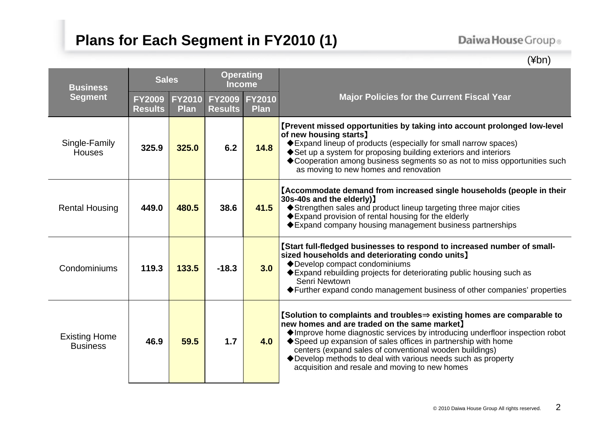# **Plans for Each Segment in FY2010 (1)**

## Daiwa House Group®

(¥bn)

| <b>Business</b><br><b>Segment</b>       | <b>Sales</b>                    |                              | <b>Operating</b><br><b>Income</b> |                              |                                                                                                                                                                                                                                                                                                                                                                                                                                                                         |
|-----------------------------------------|---------------------------------|------------------------------|-----------------------------------|------------------------------|-------------------------------------------------------------------------------------------------------------------------------------------------------------------------------------------------------------------------------------------------------------------------------------------------------------------------------------------------------------------------------------------------------------------------------------------------------------------------|
|                                         | <b>FY2009</b><br><b>Results</b> | <b>FY2010</b><br><b>Plan</b> | <b>FY2009</b><br><b>Results</b>   | <b>FY2010</b><br><b>Plan</b> | <b>Major Policies for the Current Fiscal Year</b>                                                                                                                                                                                                                                                                                                                                                                                                                       |
| Single-Family<br><b>Houses</b>          | 325.9                           | 325.0                        | 6.2                               | 14.8                         | [Prevent missed opportunities by taking into account prolonged low-level<br>of new housing starts)<br>♦ Expand lineup of products (especially for small narrow spaces)<br>♦ Set up a system for proposing building exteriors and interiors<br>◆ Cooperation among business segments so as not to miss opportunities such<br>as moving to new homes and renovation                                                                                                       |
| <b>Rental Housing</b>                   | 449.0                           | 480.5                        | 38.6                              | 41.5                         | Accommodate demand from increased single households (people in their<br>30s-40s and the elderly)]<br>Strengthen sales and product lineup targeting three major cities<br>♦ Expand provision of rental housing for the elderly<br>♦ Expand company housing management business partnerships                                                                                                                                                                              |
| Condominiums                            | 119.3                           | 133.5                        | $-18.3$                           | 3.0                          | [Start full-fledged businesses to respond to increased number of small-<br>sized households and deteriorating condo units]<br>◆Develop compact condominiums<br>♦ Expand rebuilding projects for deteriorating public housing such as<br>Senri Newtown<br>♦ Further expand condo management business of other companies' properties                                                                                                                                      |
| <b>Existing Home</b><br><b>Business</b> | 46.9                            | 59.5                         | 1.7                               | 4.0                          | $[$ Solution to complaints and troubles $\Rightarrow$ existing homes are comparable to<br>new homes and are traded on the same market)<br>♦ Improve home diagnostic services by introducing underfloor inspection robot<br>♦ Speed up expansion of sales offices in partnership with home<br>centers (expand sales of conventional wooden buildings)<br>◆ Develop methods to deal with various needs such as property<br>acquisition and resale and moving to new homes |